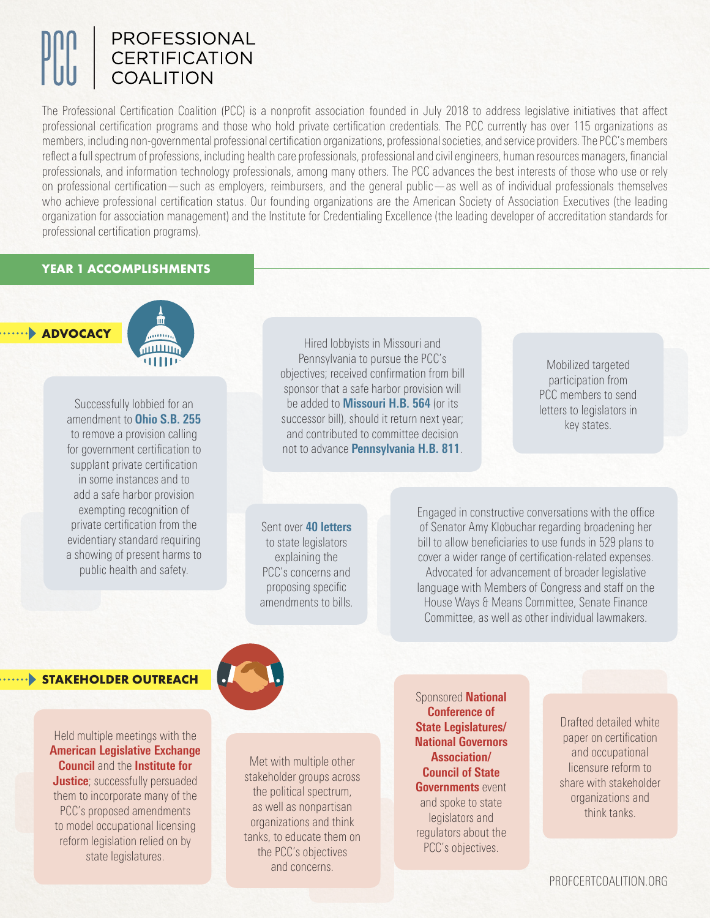# PROFESSIONAL **CERTIFICATION COALITION**

The Professional Certification Coalition (PCC) is a nonprofit association founded in July 2018 to address legislative initiatives that affect professional certification programs and those who hold private certification credentials. The PCC currently has over 115 organizations as members, including non-governmental professional certification organizations, professional societies, and service providers. The PCC's members reflect a full spectrum of professions, including health care professionals, professional and civil engineers, human resources managers, financial professionals, and information technology professionals, among many others. The PCC advances the best interests of those who use or rely on professional certification—such as employers, reimbursers, and the general public—as well as of individual professionals themselves who achieve professional certification status. Our founding organizations are the American Society of Association Executives (the leading organization for association management) and the Institute for Credentialing Excellence (the leading developer of accreditation standards for professional certification programs).

## **YEAR 1 ACCOMPLISHMENTS**

**ADVOCACY**



Successfully lobbied for an amendment to **Ohio S.B. 255** to remove a provision calling for government certification to supplant private certification in some instances and to add a safe harbor provision exempting recognition of private certification from the evidentiary standard requiring a showing of present harms to public health and safety.

Hired lobbyists in Missouri and Pennsylvania to pursue the PCC's objectives; received confirmation from bill sponsor that a safe harbor provision will be added to **Missouri H.B. 564** (or its successor bill), should it return next year; and contributed to committee decision not to advance **Pennsylvania H.B. 811**.

Mobilized targeted participation from PCC members to send letters to legislators in key states.

Sent over **40 letters**  to state legislators explaining the PCC's concerns and proposing specific amendments to bills.

Engaged in constructive conversations with the office of Senator Amy Klobuchar regarding broadening her bill to allow beneficiaries to use funds in 529 plans to cover a wider range of certification-related expenses. Advocated for advancement of broader legislative language with Members of Congress and staff on the House Ways & Means Committee, Senate Finance Committee, as well as other individual lawmakers.

## **STAKEHOLDER OUTREACH**

Held multiple meetings with the **American Legislative Exchange Council** and the **Institute for Justice**; successfully persuaded them to incorporate many of the PCC's proposed amendments to model occupational licensing reform legislation relied on by state legislatures.



Met with multiple other stakeholder groups across the political spectrum, as well as nonpartisan organizations and think tanks, to educate them on the PCC's objectives and concerns.

Sponsored **National Conference of State Legislatures/ National Governors Association/ Council of State Governments** event and spoke to state legislators and regulators about the PCC's objectives.

Drafted detailed white paper on certification and occupational licensure reform to share with stakeholder organizations and think tanks.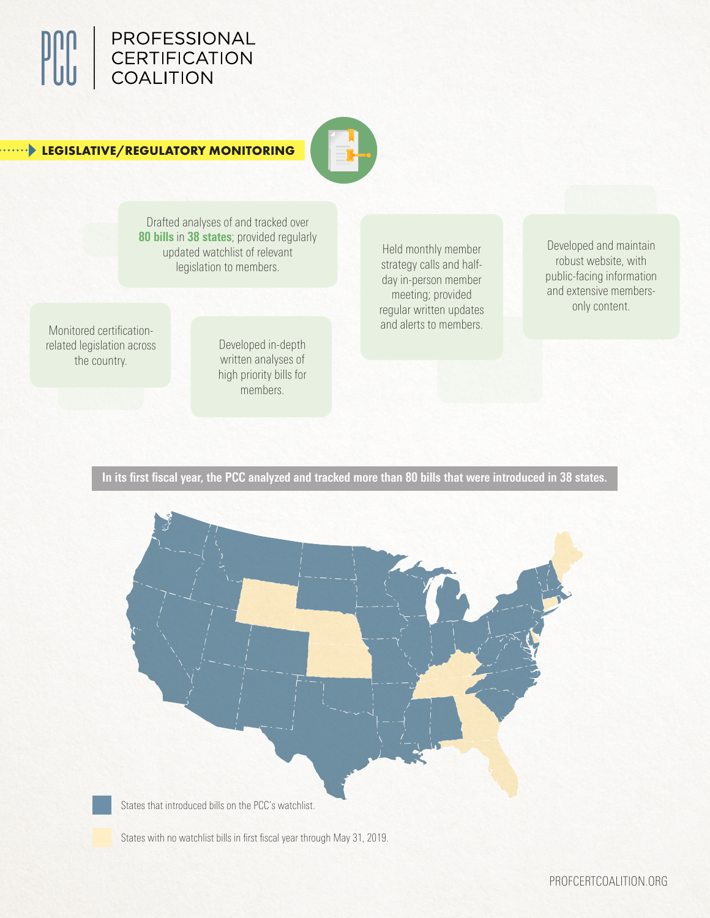

# **LEGISLATIVE/REGULATORY MONITORING**



Drafted analyses of and tracked over **80 bills** in **38 states**; provided regularly updated watchlist of relevant legislation to members.

Monitored certificationrelated legislation across the country.

Developed in-depth written analyses of high priority bills for members.

Held monthly member strategy calls and halfday in-person member meeting; provided regular written updates and alerts to members.

Developed and maintain robust website, with public-facing information and extensive membersonly content.

**In its first fiscal year, the PCC analyzed and tracked more than 80 bills that were introduced in 38 states.**



States with no watchlist bills in first fiscal year through May 31, 2019.